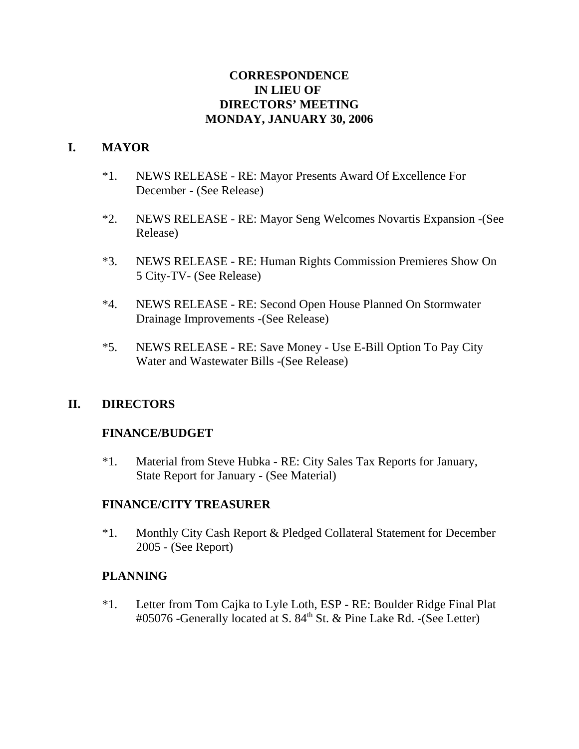## **CORRESPONDENCE IN LIEU OF DIRECTORS' MEETING MONDAY, JANUARY 30, 2006**

## **I. MAYOR**

- \*1. NEWS RELEASE RE: Mayor Presents Award Of Excellence For December - (See Release)
- \*2. NEWS RELEASE RE: Mayor Seng Welcomes Novartis Expansion -(See Release)
- \*3. NEWS RELEASE RE: Human Rights Commission Premieres Show On 5 City-TV- (See Release)
- \*4. NEWS RELEASE RE: Second Open House Planned On Stormwater Drainage Improvements -(See Release)
- \*5. NEWS RELEASE RE: Save Money Use E-Bill Option To Pay City Water and Wastewater Bills -(See Release)

## **II. DIRECTORS**

# **FINANCE/BUDGET**

\*1. Material from Steve Hubka - RE: City Sales Tax Reports for January, State Report for January - (See Material)

## **FINANCE/CITY TREASURER**

\*1. Monthly City Cash Report & Pledged Collateral Statement for December 2005 - (See Report)

## **PLANNING**

\*1. Letter from Tom Cajka to Lyle Loth, ESP - RE: Boulder Ridge Final Plat #05076 -Generally located at S. 84<sup>th</sup> St. & Pine Lake Rd. -(See Letter)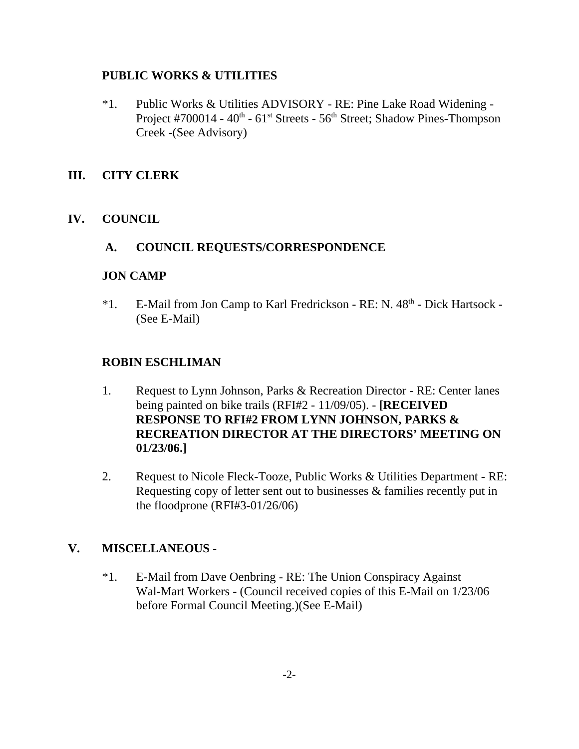#### **PUBLIC WORKS & UTILITIES**

\*1. Public Works & Utilities ADVISORY - RE: Pine Lake Road Widening - Project #700014 - 40<sup>th</sup> - 61<sup>st</sup> Streets - 56<sup>th</sup> Street; Shadow Pines-Thompson Creek -(See Advisory)

## **III. CITY CLERK**

## **IV. COUNCIL**

#### **A. COUNCIL REQUESTS/CORRESPONDENCE**

#### **JON CAMP**

\*1. E-Mail from Jon Camp to Karl Fredrickson - RE: N. 48<sup>th</sup> - Dick Hartsock -(See E-Mail)

## **ROBIN ESCHLIMAN**

- 1. Request to Lynn Johnson, Parks & Recreation Director RE: Center lanes being painted on bike trails (RFI#2 - 11/09/05). - **[RECEIVED RESPONSE TO RFI#2 FROM LYNN JOHNSON, PARKS & RECREATION DIRECTOR AT THE DIRECTORS' MEETING ON 01/23/06.]**
- 2. Request to Nicole Fleck-Tooze, Public Works & Utilities Department RE: Requesting copy of letter sent out to businesses & families recently put in the floodprone (RFI#3-01/26/06)

## **V. MISCELLANEOUS** -

\*1. E-Mail from Dave Oenbring - RE: The Union Conspiracy Against Wal-Mart Workers - (Council received copies of this E-Mail on 1/23/06 before Formal Council Meeting.)(See E-Mail)